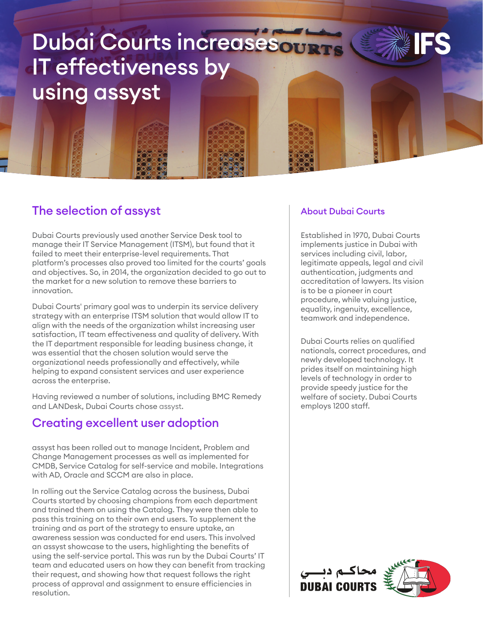# Dubai Courts increasesour IT effectiveness by using assyst



Dubai Courts previously used another Service Desk tool to manage their IT Service Management (ITSM), but found that it failed to meet their enterprise-level requirements. That platform's processes also proved too limited for the courts' goals and objectives. So, in 2014, the organization decided to go out to the market for a new solution to remove these barriers to innovation.

Dubai Courts' primary goal was to underpin its service delivery strategy with an enterprise ITSM solution that would allow IT to align with the needs of the organization whilst increasing user satisfaction, IT team effectiveness and quality of delivery. With the IT department responsible for leading business change, it was essential that the chosen solution would serve the organizational needs professionally and effectively, while helping to expand consistent services and user experience across the enterprise.

Having reviewed a number of solutions, including BMC Remedy and LANDesk, Dubai Courts chose assyst.

## Creating excellent user adoption

assyst has been rolled out to manage Incident, Problem and Change Management processes as well as implemented for CMDB, Service Catalog for self-service and mobile. Integrations with AD, Oracle and SCCM are also in place.

In rolling out the Service Catalog across the business, Dubai Courts started by choosing champions from each department and trained them on using the Catalog. They were then able to pass this training on to their own end users. To supplement the training and as part of the strategy to ensure uptake, an awareness session was conducted for end users. This involved an assyst showcase to the users, highlighting the benefits of using the self-service portal. This was run by the Dubai Courts' IT team and educated users on how they can benefit from tracking their request, and showing how that request follows the right process of approval and assignment to ensure efficiencies in resolution.

### About Dubai Courts

Established in 1970, Dubai Courts implements justice in Dubai with services including civil, labor, legitimate appeals, legal and civil authentication, judgments and accreditation of lawyers. Its vision is to be a pioneer in court procedure, while valuing justice, equality, ingenuity, excellence, teamwork and independence.

Dubai Courts relies on qualified nationals, correct procedures, and newly developed technology. It prides itself on maintaining high levels of technology in order to provide speedy justice for the welfare of society. Dubai Courts employs 1200 staff.